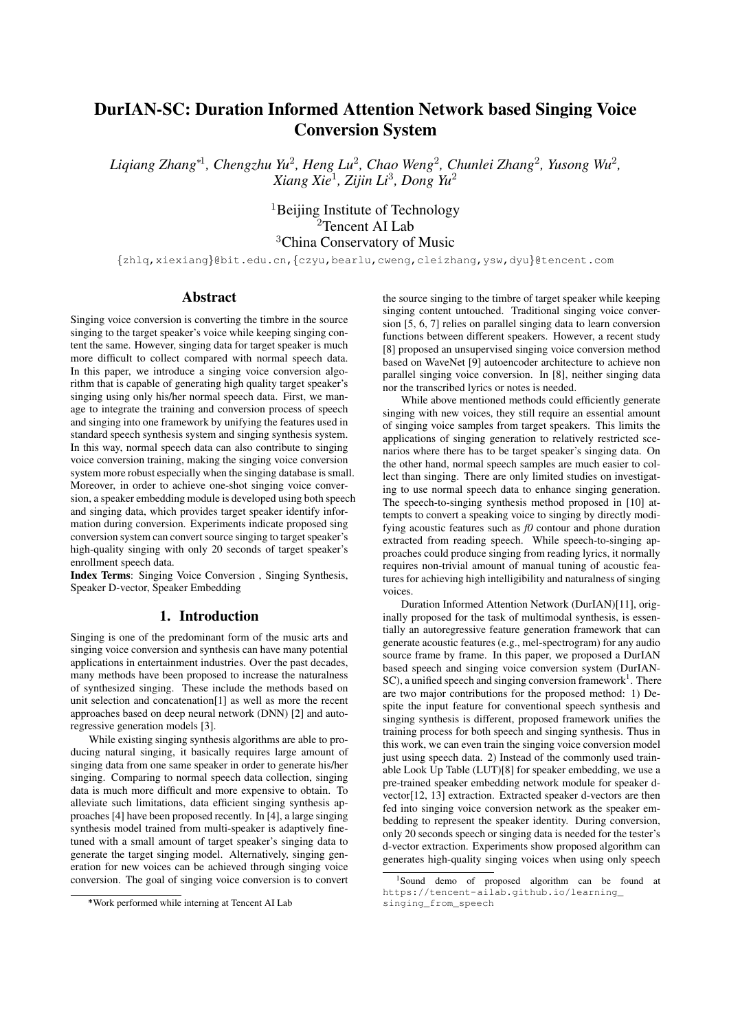# DurIAN-SC: Duration Informed Attention Network based Singing Voice Conversion System

*Liqiang Zhang*<sup>∗</sup><sup>1</sup> *, Chengzhu Yu*<sup>2</sup> *, Heng Lu*<sup>2</sup> *, Chao Weng*<sup>2</sup> *, Chunlei Zhang*<sup>2</sup> *, Yusong Wu*<sup>2</sup> *, Xiang Xie*<sup>1</sup> *, Zijin Li*<sup>3</sup> *, Dong Yu*<sup>2</sup>

> <sup>1</sup>Beijing Institute of Technology  $2^2$ Tencent AI Lab <sup>3</sup>China Conservatory of Music

{zhlq,xiexiang}@bit.edu.cn,{czyu,bearlu,cweng,cleizhang,ysw,dyu}@tencent.com

## Abstract

Singing voice conversion is converting the timbre in the source singing to the target speaker's voice while keeping singing content the same. However, singing data for target speaker is much more difficult to collect compared with normal speech data. In this paper, we introduce a singing voice conversion algorithm that is capable of generating high quality target speaker's singing using only his/her normal speech data. First, we manage to integrate the training and conversion process of speech and singing into one framework by unifying the features used in standard speech synthesis system and singing synthesis system. In this way, normal speech data can also contribute to singing voice conversion training, making the singing voice conversion system more robust especially when the singing database is small. Moreover, in order to achieve one-shot singing voice conversion, a speaker embedding module is developed using both speech and singing data, which provides target speaker identify information during conversion. Experiments indicate proposed sing conversion system can convert source singing to target speaker's high-quality singing with only 20 seconds of target speaker's enrollment speech data.

Index Terms: Singing Voice Conversion , Singing Synthesis, Speaker D-vector, Speaker Embedding

## 1. Introduction

Singing is one of the predominant form of the music arts and singing voice conversion and synthesis can have many potential applications in entertainment industries. Over the past decades, many methods have been proposed to increase the naturalness of synthesized singing. These include the methods based on unit selection and concatenation[1] as well as more the recent approaches based on deep neural network (DNN) [2] and autoregressive generation models [3].

While existing singing synthesis algorithms are able to producing natural singing, it basically requires large amount of singing data from one same speaker in order to generate his/her singing. Comparing to normal speech data collection, singing data is much more difficult and more expensive to obtain. To alleviate such limitations, data efficient singing synthesis approaches [4] have been proposed recently. In [4], a large singing synthesis model trained from multi-speaker is adaptively finetuned with a small amount of target speaker's singing data to generate the target singing model. Alternatively, singing generation for new voices can be achieved through singing voice conversion. The goal of singing voice conversion is to convert the source singing to the timbre of target speaker while keeping singing content untouched. Traditional singing voice conversion [5, 6, 7] relies on parallel singing data to learn conversion functions between different speakers. However, a recent study [8] proposed an unsupervised singing voice conversion method based on WaveNet [9] autoencoder architecture to achieve non parallel singing voice conversion. In [8], neither singing data nor the transcribed lyrics or notes is needed.

While above mentioned methods could efficiently generate singing with new voices, they still require an essential amount of singing voice samples from target speakers. This limits the applications of singing generation to relatively restricted scenarios where there has to be target speaker's singing data. On the other hand, normal speech samples are much easier to collect than singing. There are only limited studies on investigating to use normal speech data to enhance singing generation. The speech-to-singing synthesis method proposed in [10] attempts to convert a speaking voice to singing by directly modifying acoustic features such as *f0* contour and phone duration extracted from reading speech. While speech-to-singing approaches could produce singing from reading lyrics, it normally requires non-trivial amount of manual tuning of acoustic features for achieving high intelligibility and naturalness of singing voices.

Duration Informed Attention Network (DurIAN)[11], originally proposed for the task of multimodal synthesis, is essentially an autoregressive feature generation framework that can generate acoustic features (e.g., mel-spectrogram) for any audio source frame by frame. In this paper, we proposed a DurIAN based speech and singing voice conversion system (DurIAN- $SC$ ), a unified speech and singing conversion framework<sup>1</sup>. There are two major contributions for the proposed method: 1) Despite the input feature for conventional speech synthesis and singing synthesis is different, proposed framework unifies the training process for both speech and singing synthesis. Thus in this work, we can even train the singing voice conversion model just using speech data. 2) Instead of the commonly used trainable Look Up Table (LUT)[8] for speaker embedding, we use a pre-trained speaker embedding network module for speaker dvector[12, 13] extraction. Extracted speaker d-vectors are then fed into singing voice conversion network as the speaker embedding to represent the speaker identity. During conversion, only 20 seconds speech or singing data is needed for the tester's d-vector extraction. Experiments show proposed algorithm can generates high-quality singing voices when using only speech

<sup>∗</sup>\*Work performed while interning at Tencent AI Lab

<sup>1</sup>Sound demo of proposed algorithm can be found at https://tencent-ailab.github.io/learning\_ singing\_from\_speech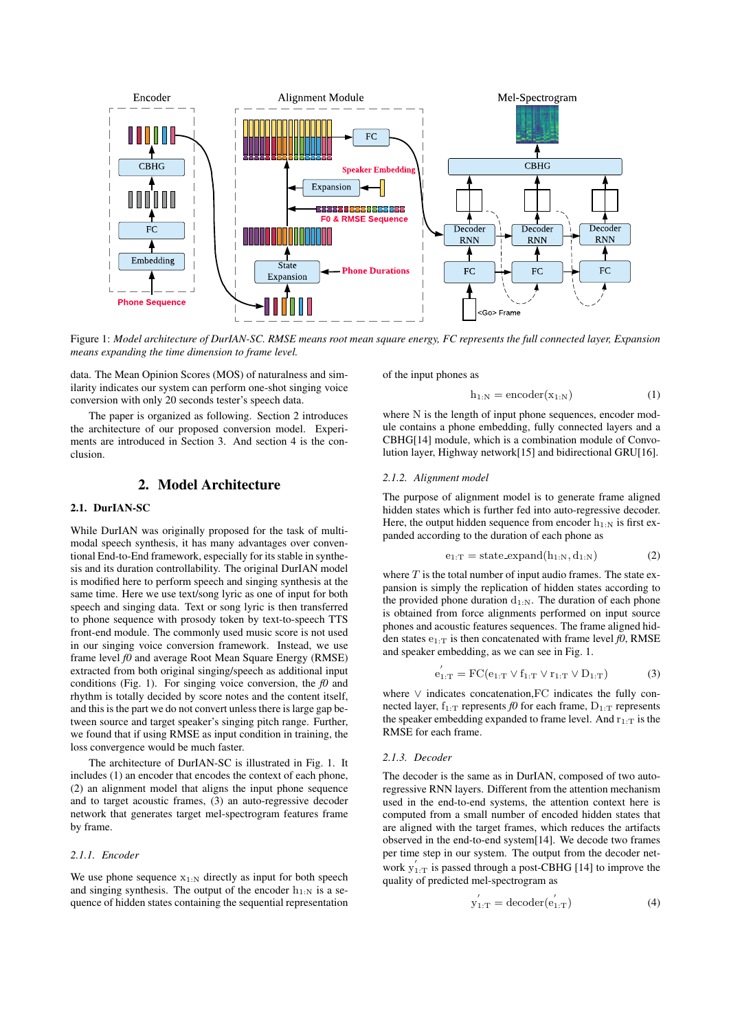

Figure 1: *Model architecture of DurIAN-SC. RMSE means root mean square energy, FC represents the full connected layer, Expansion means expanding the time dimension to frame level.*

data. The Mean Opinion Scores (MOS) of naturalness and similarity indicates our system can perform one-shot singing voice conversion with only 20 seconds tester's speech data.

The paper is organized as following. Section 2 introduces the architecture of our proposed conversion model. Experiments are introduced in Section 3. And section 4 is the conclusion.

#### 2. Model Architecture

#### 2.1. DurIAN-SC

While DurIAN was originally proposed for the task of multimodal speech synthesis, it has many advantages over conventional End-to-End framework, especially for its stable in synthesis and its duration controllability. The original DurIAN model is modified here to perform speech and singing synthesis at the same time. Here we use text/song lyric as one of input for both speech and singing data. Text or song lyric is then transferred to phone sequence with prosody token by text-to-speech TTS front-end module. The commonly used music score is not used in our singing voice conversion framework. Instead, we use frame level *f0* and average Root Mean Square Energy (RMSE) extracted from both original singing/speech as additional input conditions (Fig. 1). For singing voice conversion, the  $f_0$  and rhythm is totally decided by score notes and the content itself, and this is the part we do not convert unless there is large gap between source and target speaker's singing pitch range. Further, we found that if using RMSE as input condition in training, the loss convergence would be much faster.

The architecture of DurIAN-SC is illustrated in Fig. 1. It includes (1) an encoder that encodes the context of each phone, (2) an alignment model that aligns the input phone sequence and to target acoustic frames, (3) an auto-regressive decoder network that generates target mel-spectrogram features frame by frame.

#### *2.1.1. Encoder*

We use phone sequence  $x_{1:N}$  directly as input for both speech and singing synthesis. The output of the encoder  $h_{1:N}$  is a sequence of hidden states containing the sequential representation of the input phones as

$$
h_{1:N} = \text{encoder}(x_{1:N})
$$
 (1)

where N is the length of input phone sequences, encoder module contains a phone embedding, fully connected layers and a CBHG[14] module, which is a combination module of Convolution layer, Highway network[15] and bidirectional GRU[16].

#### *2.1.2. Alignment model*

The purpose of alignment model is to generate frame aligned hidden states which is further fed into auto-regressive decoder. Here, the output hidden sequence from encoder  $h_{1:N}$  is first expanded according to the duration of each phone as

$$
e_{1:T} = state\text{-expand}(h_{1:N}, d_{1:N})
$$
 (2)

where  $T$  is the total number of input audio frames. The state expansion is simply the replication of hidden states according to the provided phone duration  $d_{1:N}$ . The duration of each phone is obtained from force alignments performed on input source phones and acoustic features sequences. The frame aligned hidden states  $e_{1:T}$  is then concatenated with frame level  $f_0$ , RMSE and speaker embedding, as we can see in Fig. 1.

$$
e_{1:T}' = FC(e_{1:T} \vee f_{1:T} \vee r_{1:T} \vee D_{1:T})
$$
 (3)

where ∨ indicates concatenation,FC indicates the fully connected layer,  $f_{1:T}$  represents *f0* for each frame,  $D_{1:T}$  represents the speaker embedding expanded to frame level. And  $r_{1:T}$  is the RMSE for each frame.

#### *2.1.3. Decoder*

The decoder is the same as in DurIAN, composed of two autoregressive RNN layers. Different from the attention mechanism used in the end-to-end systems, the attention context here is computed from a small number of encoded hidden states that are aligned with the target frames, which reduces the artifacts observed in the end-to-end system[14]. We decode two frames per time step in our system. The output from the decoder network  $y'_{1:T}$  is passed through a post-CBHG [14] to improve the quality of predicted mel-spectrogram as

$$
y'_{1:T} = \text{decoder}(e'_{1:T})
$$
 (4)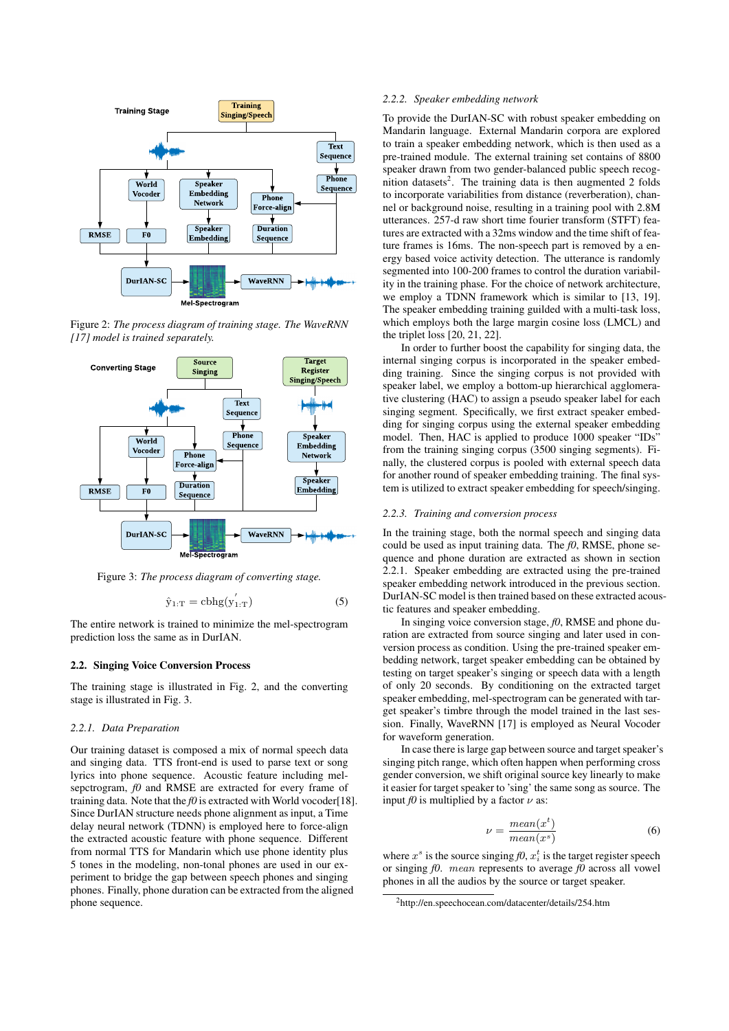

Figure 2: *The process diagram of training stage. The WaveRNN [17] model is trained separately.*



Figure 3: *The process diagram of converting stage.*

$$
\hat{y}_{1:T} = \text{cbhg}(y'_{1:T})\tag{5}
$$

The entire network is trained to minimize the mel-spectrogram prediction loss the same as in DurIAN.

#### 2.2. Singing Voice Conversion Process

The training stage is illustrated in Fig. 2, and the converting stage is illustrated in Fig. 3.

#### *2.2.1. Data Preparation*

Our training dataset is composed a mix of normal speech data and singing data. TTS front-end is used to parse text or song lyrics into phone sequence. Acoustic feature including melsepctrogram, *f0* and RMSE are extracted for every frame of training data. Note that the  $f0$  is extracted with World vocoder[18]. Since DurIAN structure needs phone alignment as input, a Time delay neural network (TDNN) is employed here to force-align the extracted acoustic feature with phone sequence. Different from normal TTS for Mandarin which use phone identity plus 5 tones in the modeling, non-tonal phones are used in our experiment to bridge the gap between speech phones and singing phones. Finally, phone duration can be extracted from the aligned phone sequence.

#### *2.2.2. Speaker embedding network*

To provide the DurIAN-SC with robust speaker embedding on Mandarin language. External Mandarin corpora are explored to train a speaker embedding network, which is then used as a pre-trained module. The external training set contains of 8800 speaker drawn from two gender-balanced public speech recognition datasets<sup>2</sup>. The training data is then augmented 2 folds to incorporate variabilities from distance (reverberation), channel or background noise, resulting in a training pool with 2.8M utterances. 257-d raw short time fourier transform (STFT) features are extracted with a 32ms window and the time shift of feature frames is 16ms. The non-speech part is removed by a energy based voice activity detection. The utterance is randomly segmented into 100-200 frames to control the duration variability in the training phase. For the choice of network architecture, we employ a TDNN framework which is similar to [13, 19]. The speaker embedding training guilded with a multi-task loss, which employs both the large margin cosine loss (LMCL) and the triplet loss [20, 21, 22].

In order to further boost the capability for singing data, the internal singing corpus is incorporated in the speaker embedding training. Since the singing corpus is not provided with speaker label, we employ a bottom-up hierarchical agglomerative clustering (HAC) to assign a pseudo speaker label for each singing segment. Specifically, we first extract speaker embedding for singing corpus using the external speaker embedding model. Then, HAC is applied to produce 1000 speaker "IDs" from the training singing corpus (3500 singing segments). Finally, the clustered corpus is pooled with external speech data for another round of speaker embedding training. The final system is utilized to extract speaker embedding for speech/singing.

#### *2.2.3. Training and conversion process*

In the training stage, both the normal speech and singing data could be used as input training data. The *f0*, RMSE, phone sequence and phone duration are extracted as shown in section 2.2.1. Speaker embedding are extracted using the pre-trained speaker embedding network introduced in the previous section. DurIAN-SC model is then trained based on these extracted acoustic features and speaker embedding.

In singing voice conversion stage, *f0*, RMSE and phone duration are extracted from source singing and later used in conversion process as condition. Using the pre-trained speaker embedding network, target speaker embedding can be obtained by testing on target speaker's singing or speech data with a length of only 20 seconds. By conditioning on the extracted target speaker embedding, mel-spectrogram can be generated with target speaker's timbre through the model trained in the last session. Finally, WaveRNN [17] is employed as Neural Vocoder for waveform generation.

In case there is large gap between source and target speaker's singing pitch range, which often happen when performing cross gender conversion, we shift original source key linearly to make it easier for target speaker to 'sing' the same song as source. The input *f0* is multiplied by a factor  $\nu$  as:

$$
\nu = \frac{mean(x^t)}{mean(x^s)}\tag{6}
$$

where  $x^s$  is the source singing  $f_0, x_i^t$  is the target register speech or singing *f0*. mean represents to average *f0* across all vowel phones in all the audios by the source or target speaker.

<sup>2</sup>http://en.speechocean.com/datacenter/details/254.htm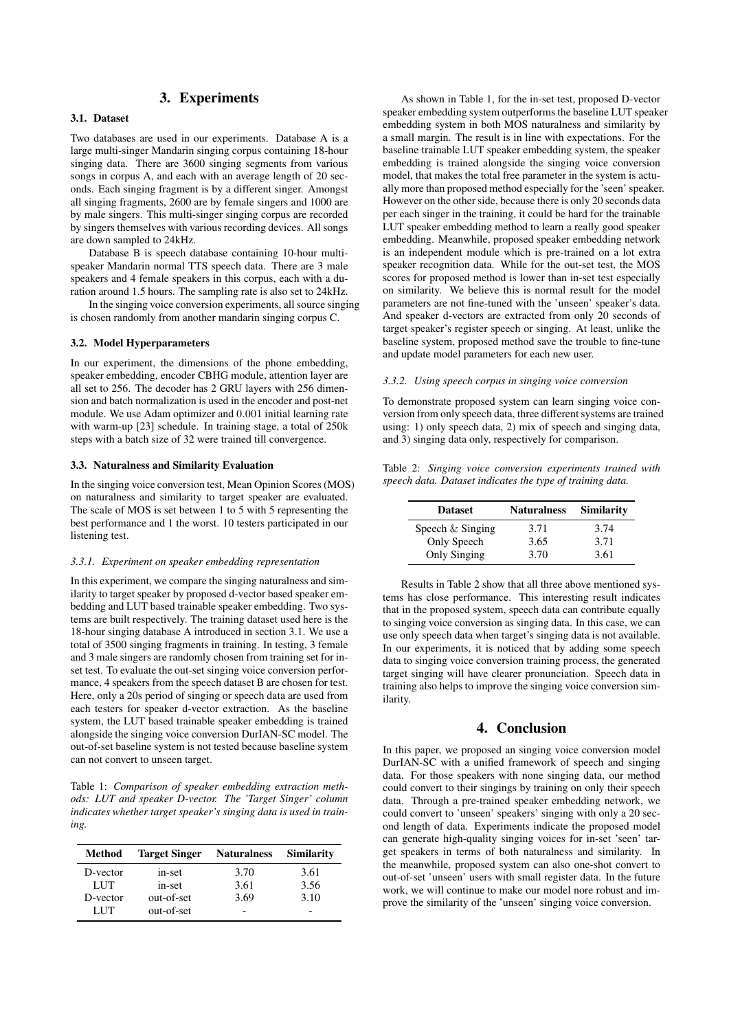# 3. Experiments

## 3.1. Dataset

Two databases are used in our experiments. Database A is a large multi-singer Mandarin singing corpus containing 18-hour singing data. There are 3600 singing segments from various songs in corpus A, and each with an average length of 20 seconds. Each singing fragment is by a different singer. Amongst all singing fragments, 2600 are by female singers and 1000 are by male singers. This multi-singer singing corpus are recorded by singers themselves with various recording devices. All songs are down sampled to 24kHz.

Database B is speech database containing 10-hour multispeaker Mandarin normal TTS speech data. There are 3 male speakers and 4 female speakers in this corpus, each with a duration around 1.5 hours. The sampling rate is also set to 24kHz.

In the singing voice conversion experiments, all source singing is chosen randomly from another mandarin singing corpus C.

#### 3.2. Model Hyperparameters

In our experiment, the dimensions of the phone embedding, speaker embedding, encoder CBHG module, attention layer are all set to 256. The decoder has 2 GRU layers with 256 dimension and batch normalization is used in the encoder and post-net module. We use Adam optimizer and 0.001 initial learning rate with warm-up [23] schedule. In training stage, a total of 250k steps with a batch size of 32 were trained till convergence.

#### 3.3. Naturalness and Similarity Evaluation

In the singing voice conversion test, Mean Opinion Scores (MOS) on naturalness and similarity to target speaker are evaluated. The scale of MOS is set between 1 to 5 with 5 representing the best performance and 1 the worst. 10 testers participated in our listening test.

#### *3.3.1. Experiment on speaker embedding representation*

In this experiment, we compare the singing naturalness and similarity to target speaker by proposed d-vector based speaker embedding and LUT based trainable speaker embedding. Two systems are built respectively. The training dataset used here is the 18-hour singing database A introduced in section 3.1. We use a total of 3500 singing fragments in training. In testing, 3 female and 3 male singers are randomly chosen from training set for inset test. To evaluate the out-set singing voice conversion performance, 4 speakers from the speech dataset B are chosen for test. Here, only a 20s period of singing or speech data are used from each testers for speaker d-vector extraction. As the baseline system, the LUT based trainable speaker embedding is trained alongside the singing voice conversion DurIAN-SC model. The out-of-set baseline system is not tested because baseline system can not convert to unseen target.

Table 1: *Comparison of speaker embedding extraction methods: LUT and speaker D-vector. The 'Target Singer' column indicates whether target speaker's singing data is used in training.*

| Method   | <b>Target Singer</b> | <b>Naturalness</b> | Similarity |
|----------|----------------------|--------------------|------------|
| D-vector | in-set               | 3.70               | 3.61       |
| LUT      | in-set               | 3.61               | 3.56       |
| D-vector | out-of-set           | 3.69               | 3.10       |
| LUT      | out-of-set           | -                  |            |

As shown in Table 1, for the in-set test, proposed D-vector speaker embedding system outperforms the baseline LUT speaker embedding system in both MOS naturalness and similarity by a small margin. The result is in line with expectations. For the baseline trainable LUT speaker embedding system, the speaker embedding is trained alongside the singing voice conversion model, that makes the total free parameter in the system is actually more than proposed method especially for the 'seen' speaker. However on the other side, because there is only 20 seconds data per each singer in the training, it could be hard for the trainable LUT speaker embedding method to learn a really good speaker embedding. Meanwhile, proposed speaker embedding network is an independent module which is pre-trained on a lot extra speaker recognition data. While for the out-set test, the MOS scores for proposed method is lower than in-set test especially on similarity. We believe this is normal result for the model parameters are not fine-tuned with the 'unseen' speaker's data. And speaker d-vectors are extracted from only 20 seconds of target speaker's register speech or singing. At least, unlike the baseline system, proposed method save the trouble to fine-tune and update model parameters for each new user.

#### *3.3.2. Using speech corpus in singing voice conversion*

To demonstrate proposed system can learn singing voice conversion from only speech data, three different systems are trained using: 1) only speech data, 2) mix of speech and singing data, and 3) singing data only, respectively for comparison.

Table 2: *Singing voice conversion experiments trained with speech data. Dataset indicates the type of training data.*

| <b>Dataset</b>      | <b>Naturalness</b> | <b>Similarity</b> |
|---------------------|--------------------|-------------------|
| Speech $&$ Singing  | 3.71               | 3.74              |
| Only Speech         | 3.65               | 3.71              |
| <b>Only Singing</b> | 3.70               | 3.61              |

Results in Table 2 show that all three above mentioned systems has close performance. This interesting result indicates that in the proposed system, speech data can contribute equally to singing voice conversion as singing data. In this case, we can use only speech data when target's singing data is not available. In our experiments, it is noticed that by adding some speech data to singing voice conversion training process, the generated target singing will have clearer pronunciation. Speech data in training also helps to improve the singing voice conversion similarity.

## 4. Conclusion

In this paper, we proposed an singing voice conversion model DurIAN-SC with a unified framework of speech and singing data. For those speakers with none singing data, our method could convert to their singings by training on only their speech data. Through a pre-trained speaker embedding network, we could convert to 'unseen' speakers' singing with only a 20 second length of data. Experiments indicate the proposed model can generate high-quality singing voices for in-set 'seen' target speakers in terms of both naturalness and similarity. In the meanwhile, proposed system can also one-shot convert to out-of-set 'unseen' users with small register data. In the future work, we will continue to make our model nore robust and improve the similarity of the 'unseen' singing voice conversion.